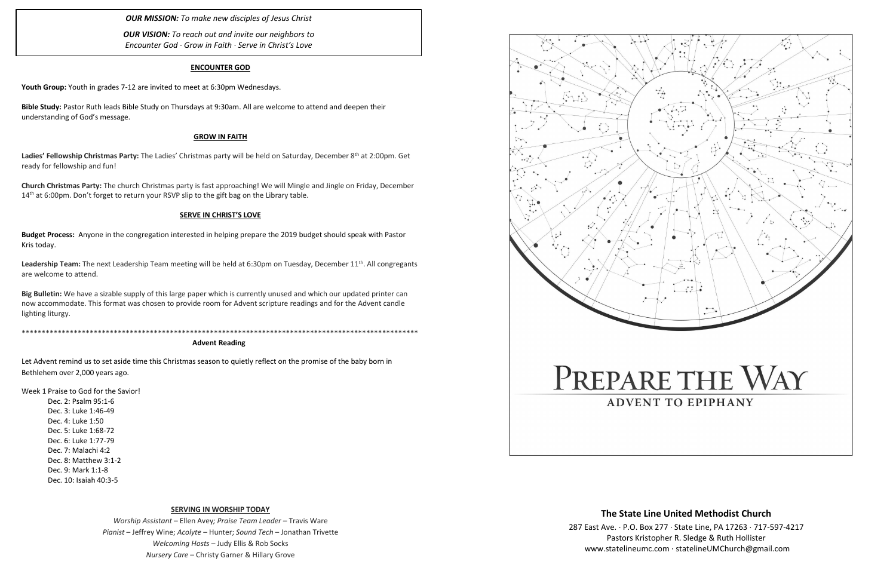### **ENCOUNTER GOD**

**Youth Group:** Youth in grades 7-12 are invited to meet at 6:30pm Wednesdays.

**Bible Study:** Pastor Ruth leads Bible Study on Thursdays at 9:30am. All are welcome to attend and deepen their understanding of God's message.

Ladies' Fellowship Christmas Party: The Ladies' Christmas party will be held on Saturday, December 8<sup>th</sup> at 2:00pm. Get ready for fellowship and fun!

**Church Christmas Party:** The church Christmas party is fast approaching! We will Mingle and Jingle on Friday, December 14<sup>th</sup> at 6:00pm. Don't forget to return your RSVP slip to the gift bag on the Library table.

### **GROW IN FAITH**

Leadership Team: The next Leadership Team meeting will be held at 6:30pm on Tuesday, December 11<sup>th</sup>. All congregants are welcome to attend.

### **SERVE IN CHRIST'S LOVE**

**Budget Process:** Anyone in the congregation interested in helping prepare the 2019 budget should speak with Pastor Kris today.

**Big Bulletin:** We have a sizable supply of this large paper which is currently unused and which our updated printer can now accommodate. This format was chosen to provide room for Advent scripture readings and for the Advent candle lighting liturgy.

\*\*\*\*\*\*\*\*\*\*\*\*\*\*\*\*\*\*\*\*\*\*\*\*\*\*\*\*\*\*\*\*\*\*\*\*\*\*\*\*\*\*\*\*\*\*\*\*\*\*\*\*\*\*\*\*\*\*\*\*\*\*\*\*\*\*\*\*\*\*\*\*\*\*\*\*\*\*\*\*\*\*\*\*\*\*\*\*\*\*\*\*\*\*\*\*\*\*\*

### **Advent Reading**

Let Advent remind us to set aside time this Christmas season to quietly reflect on the promise of the baby born in Bethlehem over 2,000 years ago.

Week 1 Praise to God for the Savior!

Dec. 2: Psalm 95:1-6 Dec. 3: Luke 1:46-49 Dec. 4: Luke 1:50 Dec. 5: Luke 1:68-72 Dec. 6: Luke 1:77-79 Dec. 7: Malachi 4:2 Dec. 8: Matthew 3:1-2 Dec. 9: Mark 1:1-8 Dec. 10: Isaiah 40:3-5

#### **SERVING IN WORSHIP TODAY**

*Worship Assistant* – Ellen Avey*; Praise Team Leader* – Travis Ware *Pianist* – Jeffrey Wine; *Acolyte* – Hunter; *Sound Tech* – Jonathan Trivette *Welcoming Hosts* – Judy Ellis & Rob Socks *Nursery Care* – Christy Garner & Hillary Grove



*OUR MISSION: To make new disciples of Jesus Christ*

*OUR VISION: To reach out and invite our neighbors to Encounter God · Grow in Faith · Serve in Christ's Love*

## **The State Line United Methodist Church**

287 East Ave. · P.O. Box 277 · State Line, PA 17263 · 717-597-4217 Pastors Kristopher R. Sledge & Ruth Hollister [www.statelineumc.com](http://www.statelineumc.com/) · statelineUMChurch@gmail.com